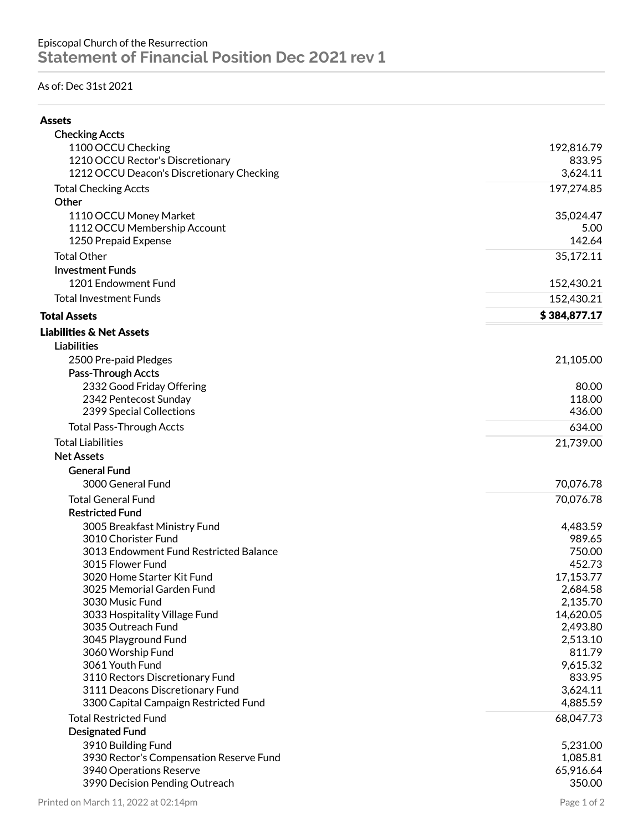## As of: Dec 31st 2021

| <b>Checking Accts</b>                                  |                       |
|--------------------------------------------------------|-----------------------|
| 1100 OCCU Checking                                     | 192,816.79            |
| 1210 OCCU Rector's Discretionary                       | 833.95                |
| 1212 OCCU Deacon's Discretionary Checking              | 3,624.11              |
| <b>Total Checking Accts</b><br>Other                   | 197,274.85            |
|                                                        |                       |
| 1110 OCCU Money Market<br>1112 OCCU Membership Account | 35,024.47<br>5.00     |
| 1250 Prepaid Expense                                   | 142.64                |
| <b>Total Other</b>                                     | 35,172.11             |
| <b>Investment Funds</b>                                |                       |
| 1201 Endowment Fund                                    | 152,430.21            |
|                                                        |                       |
| <b>Total Investment Funds</b>                          | 152,430.21            |
| <b>Total Assets</b>                                    | \$384,877.17          |
| <b>Liabilities &amp; Net Assets</b>                    |                       |
| <b>Liabilities</b>                                     |                       |
| 2500 Pre-paid Pledges                                  | 21,105.00             |
| Pass-Through Accts                                     |                       |
| 2332 Good Friday Offering                              | 80.00                 |
| 2342 Pentecost Sunday                                  | 118.00                |
| 2399 Special Collections                               | 436.00                |
| <b>Total Pass-Through Accts</b>                        | 634.00                |
| <b>Total Liabilities</b>                               | 21,739.00             |
| <b>Net Assets</b>                                      |                       |
| <b>General Fund</b>                                    |                       |
| 3000 General Fund                                      | 70,076.78             |
| <b>Total General Fund</b>                              | 70,076.78             |
| <b>Restricted Fund</b>                                 |                       |
| 3005 Breakfast Ministry Fund                           | 4,483.59              |
| 3010 Chorister Fund                                    | 989.65                |
| 3013 Endowment Fund Restricted Balance                 | 750.00                |
| 3015 Flower Fund                                       | 452.73                |
| 3020 Home Starter Kit Fund                             | 17,153.77             |
| 3025 Memorial Garden Fund                              | 2,684.58              |
| 3030 Music Fund<br>3033 Hospitality Village Fund       | 2,135.70<br>14,620.05 |
| 3035 Outreach Fund                                     | 2,493.80              |
| 3045 Playground Fund                                   | 2,513.10              |
| 3060 Worship Fund                                      | 811.79                |
| 3061 Youth Fund                                        | 9,615.32              |
| 3110 Rectors Discretionary Fund                        | 833.95                |
| 3111 Deacons Discretionary Fund                        | 3,624.11              |
| 3300 Capital Campaign Restricted Fund                  | 4,885.59              |
| <b>Total Restricted Fund</b>                           | 68,047.73             |
| <b>Designated Fund</b>                                 |                       |
| 3910 Building Fund                                     | 5,231.00              |
| 3930 Rector's Compensation Reserve Fund                | 1,085.81              |
| 3940 Operations Reserve                                | 65,916.64             |
| 3990 Decision Pending Outreach                         | 350.00                |
|                                                        |                       |